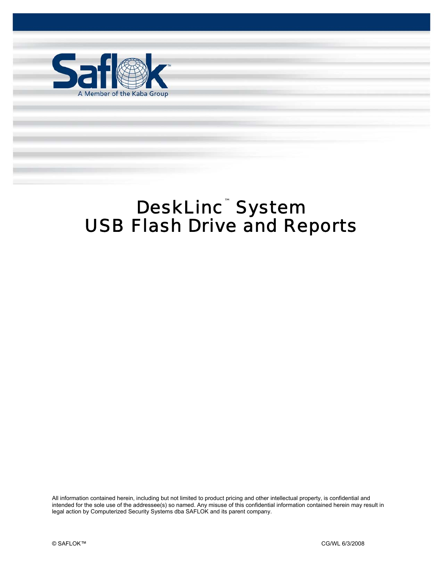

# DeskLinc™System USB Flash Drive and Reports

DeskLinc™ USB Flash Drive and Reports Pg. 1 of 9

All information contained herein, including but not limited to product pricing and other intellectual property, is confidential and intended for the sole use of the addressee(s) so named. Any misuse of this confidential information contained herein may result in legal action by Computerized Security Systems dba SAFLOK and its parent company.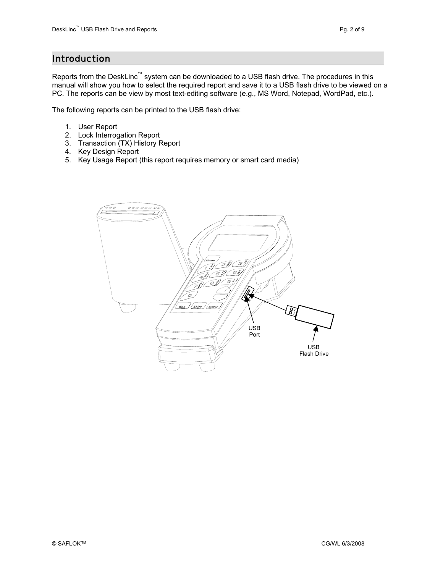## Introduction

Reports from the DeskLinc™ system can be downloaded to a USB flash drive. The procedures in this manual will show you how to select the required report and save it to a USB flash drive to be viewed on a PC. The reports can be view by most text-editing software (e.g., MS Word, Notepad, WordPad, etc.).

The following reports can be printed to the USB flash drive:

- 1. User Report
- 2. Lock Interrogation Report
- 3. Transaction (TX) History Report
- 4. Key Design Report
- 5. Key Usage Report (this report requires memory or smart card media)

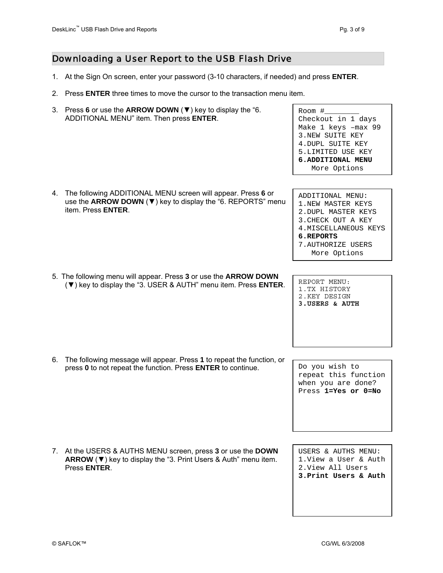## Downloading a User Report to the USB Flash Drive

- 1. At the Sign On screen, enter your password (3-10 characters, if needed) and press **ENTER**.
- 2. Press **ENTER** three times to move the cursor to the transaction menu item.
- 3. Press **6** or use the **ARROW DOWN** (▼) key to display the "6. ADDITIONAL MENU" item. Then press **ENTER**.

Room  $#_$ Checkout in 1 days Make 1 keys –max 99 3.NEW SUITE KEY 4.DUPL SUITE KEY 5.LIMITED USE KEY **6.ADDITIONAL MENU**  More Options

| The following ADDITIONAL MENU screen will appear. Press 6 or         |  |
|----------------------------------------------------------------------|--|
| use the ARROW DOWN ( $\nabla$ ) key to display the "6. REPORTS" menu |  |
| item. Press <b>ENTER</b> .                                           |  |
|                                                                      |  |

ADDITIONAL MENU: 1.NEW MASTER KEYS 2.DUPL MASTER KEYS 3.CHECK OUT A KEY 4.MISCELLA NEOUS KEYS **6.REPORTS**  7.AUTHORIZE USERS More Options

- 5. The following menu will appear. Press **3** or use the **ARROW DOWN**  $(\blacktriangledown)$  key to display the "3. USER & AUTH" menu item. Press **ENTER**.  $\begin{bmatrix} \n\blacksquare & \n\blacksquare & \n\blacksquare & \n\blacksquare & \n\blacksquare & \n\blacksquare & \n\blacksquare & \n\blacksquare & \n\blacksquare & \n\blacksquare & \n\blacksquare & \n\blacksquare & \n\blacksquare & \n\blacksquare & \n\blacksquare & \n\blacksquare &$ 
	- 1.TX HISTORY<br>2.KEY DESIGN 2.KEY DESIGN **3.USERS & AUTH**
- 6. The following message will appear. Press **1** to repeat the function, or press 0 to not repeat the function. Press **ENTER** to continue.  $\left| \begin{array}{cc} D_{\text{O}} & D_{\text{O}} \end{array} \right|$  wish to

7. At the USERS & AUTHS MENU screen, press **3** or use the **DOWN ARROW** (▼) key to display the "3. Print Users & Auth" menu item. Press **ENTER**.

USERS & AUTHS MENU:

repeat this function when you are done? Press **1=Yes or 0=No**

1.View a User & Auth 2.View All Users **3.Print Users & Auth**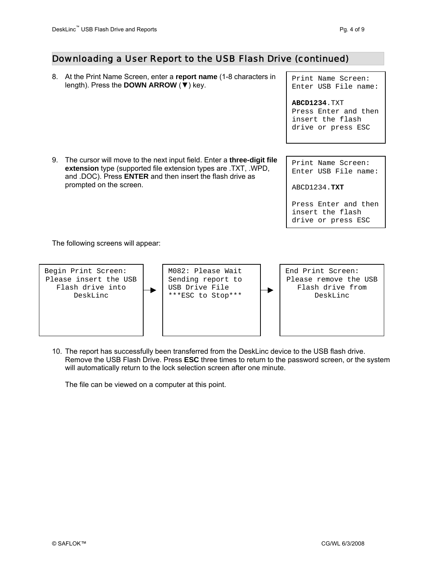#### Downloading a User Report to the USB Flash Drive (continued)

8. At the Print Name Screen, enter a **report name** (1-8 characters in length). Press the **DOWN ARROW** (▼) key.

Print Name Screen: Enter USB File name:

**ABCD1234**.TXT Press Enter and then insert the flash drive or press ESC

9. The cursor will move to the next input field. Enter a **three-digit file extension** type (supported file extension types are .TXT, .WPD, and .DOC). Press **ENTER** and then insert the flash drive as prompted on the screen.

Print Name Screen: Enter USB File name:

ABCD1234.**TXT** 

Press Enter and then insert the flash drive or press ESC

The following screens will appear:



10. The report has successfully been transferred from the DeskLinc device to the USB flash drive. Remove the USB Flash Drive. Press **ESC** three times to return to the password screen, or the system will automatically return to the lock selection screen after one minute.

The file can be viewed on a computer at this point.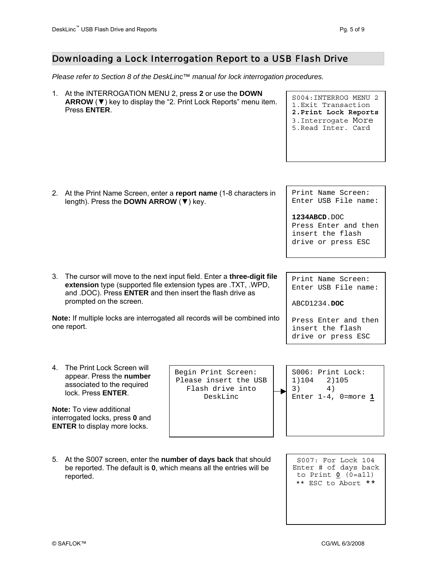٦

## Downloading a Lock Interrogation Report to a USB Flash Drive

*Please refer to Section 8 of the DeskLinc™ manual for lock interrogation procedures.* 

|                                                                                           | 1. At the INTERROGATION MENU 2, press 2 or use the DOWN<br>Press ENTER.                                                                                                                                                          | ARROW $(\nabla)$ key to display the "2. Print Lock Reports" menu item.       | S004: INTERROG MENU 2<br>1. Exit Transaction<br>2. Print Lock Reports<br>3. Interrogate More<br>5. Read Inter. Card |  |  |  |
|-------------------------------------------------------------------------------------------|----------------------------------------------------------------------------------------------------------------------------------------------------------------------------------------------------------------------------------|------------------------------------------------------------------------------|---------------------------------------------------------------------------------------------------------------------|--|--|--|
|                                                                                           |                                                                                                                                                                                                                                  |                                                                              |                                                                                                                     |  |  |  |
|                                                                                           | 2. At the Print Name Screen, enter a report name (1-8 characters in<br>length). Press the DOWN ARROW (▼) key.                                                                                                                    |                                                                              | Print Name Screen:<br>Enter USB File name:                                                                          |  |  |  |
|                                                                                           |                                                                                                                                                                                                                                  |                                                                              | 1234ABCD.DOC<br>Press Enter and then<br>insert the flash<br>drive or press ESC                                      |  |  |  |
|                                                                                           |                                                                                                                                                                                                                                  |                                                                              |                                                                                                                     |  |  |  |
| 3.                                                                                        | The cursor will move to the next input field. Enter a three-digit file<br>extension type (supported file extension types are .TXT, .WPD,<br>and .DOC). Press ENTER and then insert the flash drive as<br>prompted on the screen. | Print Name Screen:<br>Enter USB File name:<br>ABCD1234.DOC                   |                                                                                                                     |  |  |  |
| Note: If multiple locks are interrogated all records will be combined into<br>one report. |                                                                                                                                                                                                                                  |                                                                              | Press Enter and then<br>insert the flash<br>drive or press ESC                                                      |  |  |  |
|                                                                                           |                                                                                                                                                                                                                                  |                                                                              |                                                                                                                     |  |  |  |
| 4.                                                                                        | The Print Lock Screen will<br>appear. Press the number<br>associated to the required<br>lock. Press ENTER.<br><b>Note:</b> To view additional<br>interrogated locks, press 0 and                                                 | Begin Print Screen:<br>Please insert the USB<br>Flash drive into<br>DeskLinc | S006: Print Lock:<br>1)104<br>2)105<br>3)<br>4)<br>Enter $1-4$ , 0=more 1                                           |  |  |  |
|                                                                                           | <b>ENTER</b> to display more locks.                                                                                                                                                                                              |                                                                              |                                                                                                                     |  |  |  |
|                                                                                           |                                                                                                                                                                                                                                  |                                                                              |                                                                                                                     |  |  |  |
| 5.                                                                                        | At the S007 screen, enter the number of days back that should<br>be reported. The default is 0, which means all the entries will be<br>reported.                                                                                 |                                                                              | S007: For Lock 104<br>Enter # of days back<br>to Print $0$ (0=all)<br>** ESC to Abort **                            |  |  |  |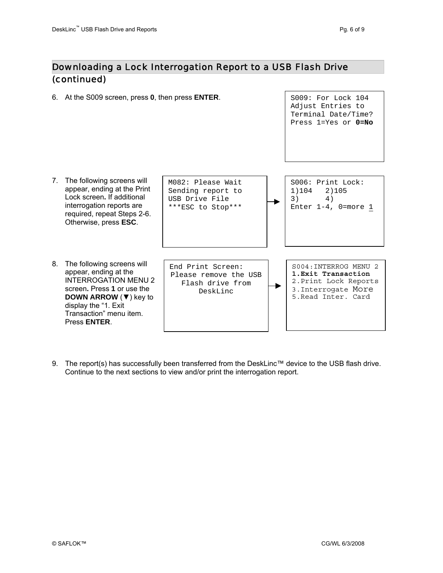## Downloading a Lock Interrogation Report to a USB Flash Drive (continued)

6. At the S009 screen, press **0**, then press **ENTER**. S009: For Lock 104

Adjust Entries to Terminal Date/Time? Press 1=Yes or **0=No**



9. The report(s) has successfully been transferred from the DeskLinc™ device to the USB flash drive. Continue to the next sections to view and/or print the interrogation report.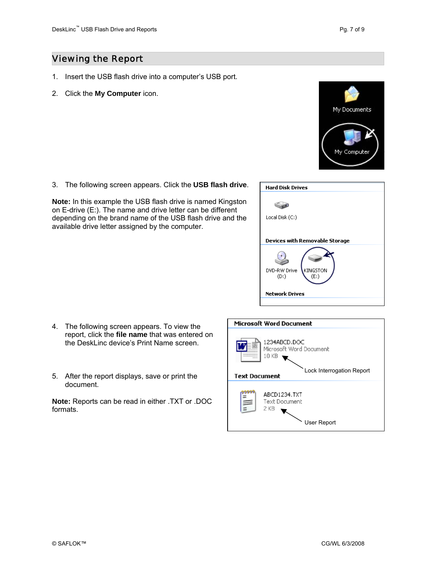## Viewing the Report

- 1. Insert the USB flash drive into a computer's USB port.
- 2. Click the **My Computer** icon.



3. The following screen appears. Click the **USB flash drive**.

**Note:** In this example the USB flash drive is named Kingston on E-drive (E:). The name and drive letter can be different depending on the brand name of the USB flash drive and the available drive letter assigned by the computer.

| <b>Hard Disk Drives</b>                 |
|-----------------------------------------|
|                                         |
| Local Disk (C:)                         |
| Devices with Removable Storage          |
| DVD-RW Drive<br>KINGSTON<br>(D)<br>(E:) |
| Network Drives                          |

- 4. The following screen appears. To view the report, click the **file name** that was entered on the DeskLinc device's Print Name screen.
- 5. After the report displays, save or print the document.

**Note:** Reports can be read in either .TXT or .DOC formats.

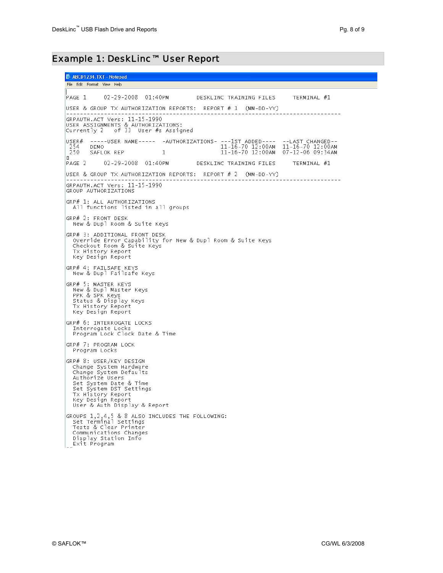## Example 1: DeskLinc™ User Report

ABCD1234.TXT - Notepad File Edit Format View Help  $PAGE 1 02-29-2008 01:40PM$ DESKLINC TRAINING FILES TERMINAL #1 USER & GROUP TX AUTHORIZATION REPORTS: REPORT # 1 (MM-DD-YY) ------------------SARAUTH.ACT Vers: 11-15-1990<br>USER ASSIGNMENTS & AUTHORIZATIONS:<br>Currently 2 of 33 User #s Assigned user# -----USER NAME----- -AUTHORIZATIONS- ---1ST ADDED---- --LAST CHANGED--<br>254 DEMO 12:00AM 11-16-70 12:00AM 11-16-70 12:00AM<br>250 SAFLOK REP 1 11-16-70 12:00AM 07-12-06 09:34AM In. PAGE 2 02-29-2008 01:40PM DESKLINC TRAINING FILES TERMINAL #1 USER & GROUP TX AUTHORIZATION REPORTS: REPORT # 2 (MM-DD-YY) GRPAUTH.ACT Vers: 11-15-1990 GROUP AUTHORIZATIONS GRP# 1: ALL AUTHORIZATIONS<br>| All functions listed in all groups GRP# 2: FRONT DESK New & Dupl Room & Suite Keys GRP# 3: ADDITIONAL FRONT DESK re standard recover the standard over the Suite Keys<br>Override Error Capability for New & Dupl Room & Suite Keys<br>Checkout Room & Suite Keys Tx History Report<br>Key Design Report GRP# 4: FAILSAFE KEYS New & Dupl Failsafe Keys GRP# 5: MASTER KEYS New & Dupl Master Keys PPK & SPK Keys<br>Status & Display Keys Tx History Report<br>Key Design Report GRP# 6: INTERROGATE LOCKS Therrogate Locks<br>Program Lock Clock Date & Time GRP# 7: PROGRAM LOCK Program Locks GRP# 8: USER/KEY DESIGN Change System Hardware<br>Change System Hardware<br>Change System Defaults Authorize Users Set System Date & Time Set System DST Settings<br>Tx History Report<br>Key Design Report<br>User & Auth Display & Report GROUPS 1, 2, 4, 5 & 8 ALSO INCLUDES THE FOLLOWING:<br>Set Terminal Settings Tests & Clear Printer Communications Changes Display Station Info<br>Exit Program